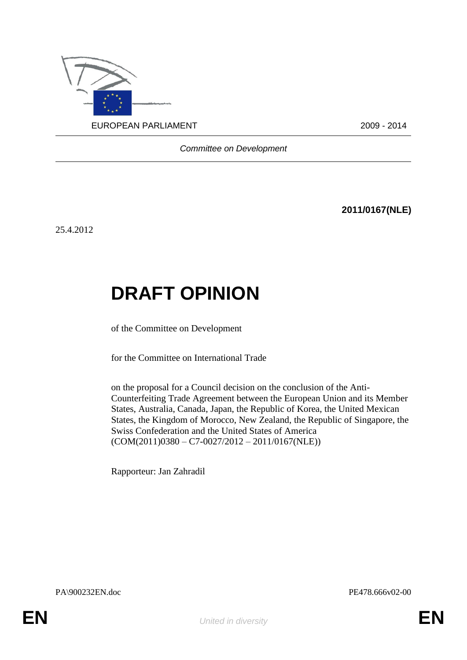

*Committee on Development*

**2011/0167(NLE)**

25.4.2012

## **DRAFT OPINION**

of the Committee on Development

for the Committee on International Trade

on the proposal for a Council decision on the conclusion of the Anti-Counterfeiting Trade Agreement between the European Union and its Member States, Australia, Canada, Japan, the Republic of Korea, the United Mexican States, the Kingdom of Morocco, New Zealand, the Republic of Singapore, the Swiss Confederation and the United States of America  $(COM(2011)0380 - C7 - 0027/2012 - 2011/0167(NLE))$ 

Rapporteur: Jan Zahradil

PA\900232EN.doc PE478.666v02-00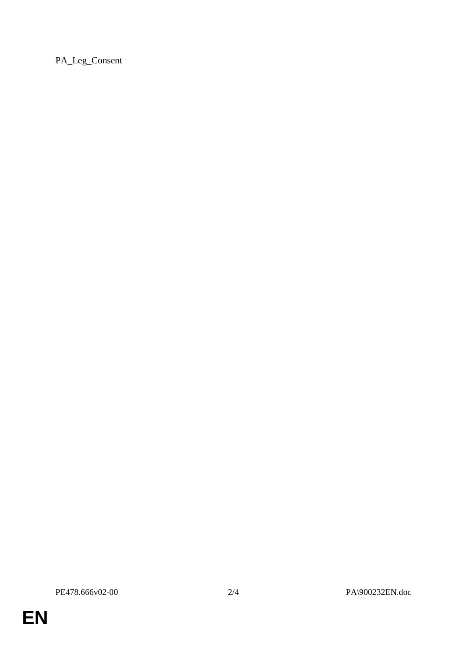PA\_Leg\_Consent

**EN**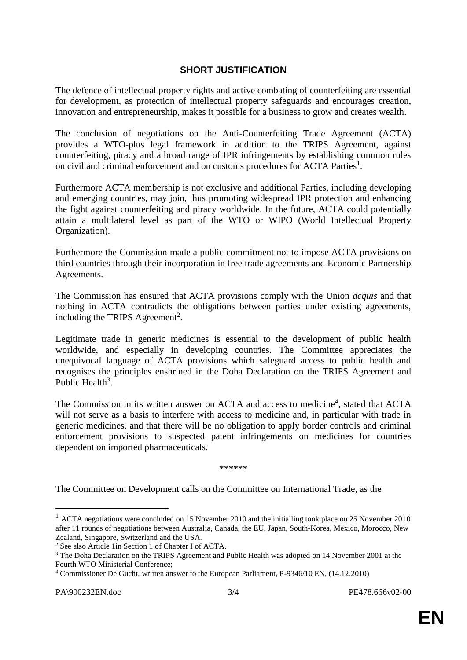## **SHORT JUSTIFICATION**

The defence of intellectual property rights and active combating of counterfeiting are essential for development, as protection of intellectual property safeguards and encourages creation, innovation and entrepreneurship, makes it possible for a business to grow and creates wealth.

The conclusion of negotiations on the Anti-Counterfeiting Trade Agreement (ACTA) provides a WTO-plus legal framework in addition to the TRIPS Agreement, against counterfeiting, piracy and a broad range of IPR infringements by establishing common rules on civil and criminal enforcement and on customs procedures for ACTA Parties<sup>1</sup>.

Furthermore ACTA membership is not exclusive and additional Parties, including developing and emerging countries, may join, thus promoting widespread IPR protection and enhancing the fight against counterfeiting and piracy worldwide. In the future, ACTA could potentially attain a multilateral level as part of the WTO or WIPO (World Intellectual Property Organization).

Furthermore the Commission made a public commitment not to impose ACTA provisions on third countries through their incorporation in free trade agreements and Economic Partnership Agreements.

The Commission has ensured that ACTA provisions comply with the Union *acquis* and that nothing in ACTA contradicts the obligations between parties under existing agreements, including the TRIPS Agreement<sup>2</sup>.

Legitimate trade in generic medicines is essential to the development of public health worldwide, and especially in developing countries. The Committee appreciates the unequivocal language of ACTA provisions which safeguard access to public health and recognises the principles enshrined in the Doha Declaration on the TRIPS Agreement and Public Health<sup>3</sup>.

The Commission in its written answer on ACTA and access to medicine<sup>4</sup>, stated that ACTA will not serve as a basis to interfere with access to medicine and, in particular with trade in generic medicines, and that there will be no obligation to apply border controls and criminal enforcement provisions to suspected patent infringements on medicines for countries dependent on imported pharmaceuticals.

\*\*\*\*\*\*

The Committee on Development calls on the Committee on International Trade, as the

1

<sup>&</sup>lt;sup>1</sup> ACTA negotiations were concluded on 15 November 2010 and the initialling took place on 25 November 2010 after 11 rounds of negotiations between Australia, Canada, the EU, Japan, South-Korea, Mexico, Morocco, New Zealand, Singapore, Switzerland and the USA.

<sup>2</sup> See also Article 1in Section 1 of Chapter I of ACTA.

<sup>&</sup>lt;sup>3</sup> The Doha Declaration on the TRIPS Agreement and Public Health was adopted on 14 November 2001 at the Fourth WTO Ministerial Conference;

<sup>4</sup> Commissioner De Gucht, written answer to the European Parliament, P-9346/10 EN, (14.12.2010)